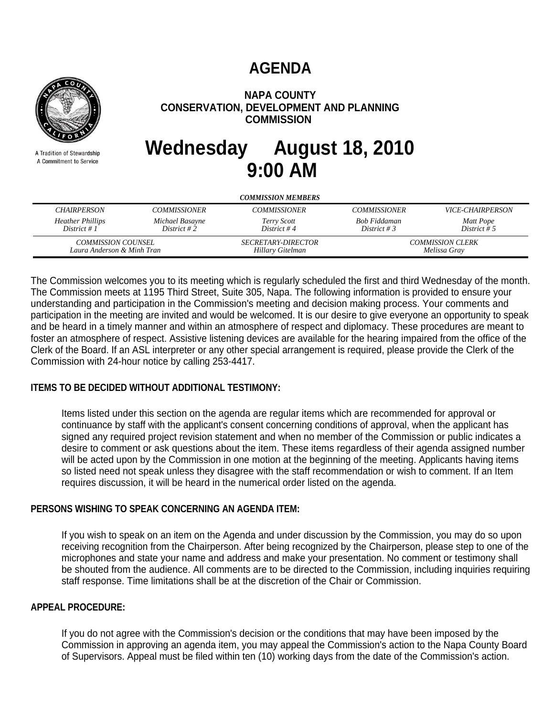# **AGENDA**



A Tradition of Stewardship A Commitment to Service

# **NAPA COUNTY CONSERVATION, DEVELOPMENT AND PLANNING COMMISSION**

# **Wednesday August 18, 2010 9:00 AM**

| <b>COMMISSION MEMBERS</b>                 |                                                         |                            |                                         |                                |
|-------------------------------------------|---------------------------------------------------------|----------------------------|-----------------------------------------|--------------------------------|
| <b>CHAIRPERSON</b>                        | <b>COMMISSIONER</b>                                     | <b>COMMISSIONER</b>        | <b>COMMISSIONER</b>                     | <i><b>VICE-CHAIRPERSON</b></i> |
| <b>Heather Phillips</b><br>District # $1$ | Michael Basayne<br>District #2                          | Terry Scott<br>District #4 | Bob Fiddaman<br>District # 3            | Matt Pope<br>District # 5      |
|                                           | <i>COMMISSION COUNSEL</i><br>Laura Anderson & Minh Tran |                            | <b>COMMISSION CLERK</b><br>Melissa Gray |                                |

The Commission welcomes you to its meeting which is regularly scheduled the first and third Wednesday of the month. The Commission meets at 1195 Third Street, Suite 305, Napa. The following information is provided to ensure your understanding and participation in the Commission's meeting and decision making process. Your comments and participation in the meeting are invited and would be welcomed. It is our desire to give everyone an opportunity to speak and be heard in a timely manner and within an atmosphere of respect and diplomacy. These procedures are meant to foster an atmosphere of respect. Assistive listening devices are available for the hearing impaired from the office of the Clerk of the Board. If an ASL interpreter or any other special arrangement is required, please provide the Clerk of the Commission with 24-hour notice by calling 253-4417.

## **ITEMS TO BE DECIDED WITHOUT ADDITIONAL TESTIMONY:**

Items listed under this section on the agenda are regular items which are recommended for approval or continuance by staff with the applicant's consent concerning conditions of approval, when the applicant has signed any required project revision statement and when no member of the Commission or public indicates a desire to comment or ask questions about the item. These items regardless of their agenda assigned number will be acted upon by the Commission in one motion at the beginning of the meeting. Applicants having items so listed need not speak unless they disagree with the staff recommendation or wish to comment. If an Item requires discussion, it will be heard in the numerical order listed on the agenda.

#### **PERSONS WISHING TO SPEAK CONCERNING AN AGENDA ITEM:**

If you wish to speak on an item on the Agenda and under discussion by the Commission, you may do so upon receiving recognition from the Chairperson. After being recognized by the Chairperson, please step to one of the microphones and state your name and address and make your presentation. No comment or testimony shall be shouted from the audience. All comments are to be directed to the Commission, including inquiries requiring staff response. Time limitations shall be at the discretion of the Chair or Commission.

#### **APPEAL PROCEDURE:**

If you do not agree with the Commission's decision or the conditions that may have been imposed by the Commission in approving an agenda item, you may appeal the Commission's action to the Napa County Board of Supervisors. Appeal must be filed within ten (10) working days from the date of the Commission's action.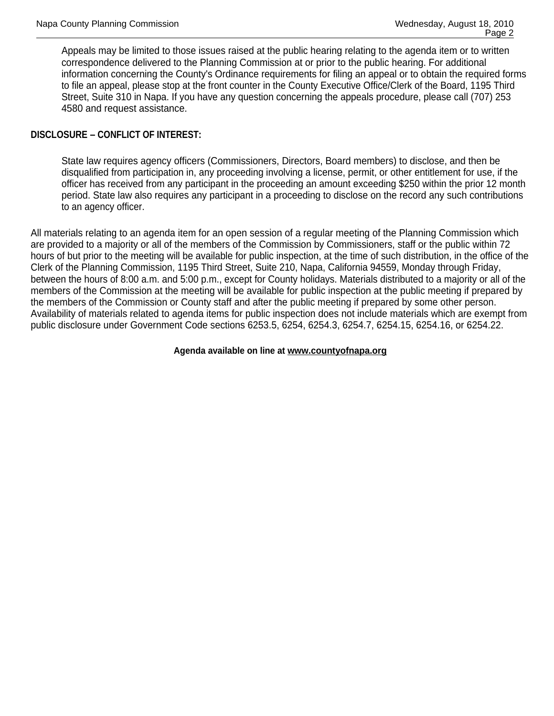Appeals may be limited to those issues raised at the public hearing relating to the agenda item or to written correspondence delivered to the Planning Commission at or prior to the public hearing. For additional information concerning the County's Ordinance requirements for filing an appeal or to obtain the required forms to file an appeal, please stop at the front counter in the County Executive Office/Clerk of the Board, 1195 Third Street, Suite 310 in Napa. If you have any question concerning the appeals procedure, please call (707) 253 4580 and request assistance.

#### **DISCLOSURE – CONFLICT OF INTEREST:**

State law requires agency officers (Commissioners, Directors, Board members) to disclose, and then be disqualified from participation in, any proceeding involving a license, permit, or other entitlement for use, if the officer has received from any participant in the proceeding an amount exceeding \$250 within the prior 12 month period. State law also requires any participant in a proceeding to disclose on the record any such contributions to an agency officer.

All materials relating to an agenda item for an open session of a regular meeting of the Planning Commission which are provided to a majority or all of the members of the Commission by Commissioners, staff or the public within 72 hours of but prior to the meeting will be available for public inspection, at the time of such distribution, in the office of the Clerk of the Planning Commission, 1195 Third Street, Suite 210, Napa, California 94559, Monday through Friday, between the hours of 8:00 a.m. and 5:00 p.m., except for County holidays. Materials distributed to a majority or all of the members of the Commission at the meeting will be available for public inspection at the public meeting if prepared by the members of the Commission or County staff and after the public meeting if prepared by some other person. Availability of materials related to agenda items for public inspection does not include materials which are exempt from public disclosure under Government Code sections 6253.5, 6254, 6254.3, 6254.7, 6254.15, 6254.16, or 6254.22.

#### **Agenda available on line at www.countyofnapa.org**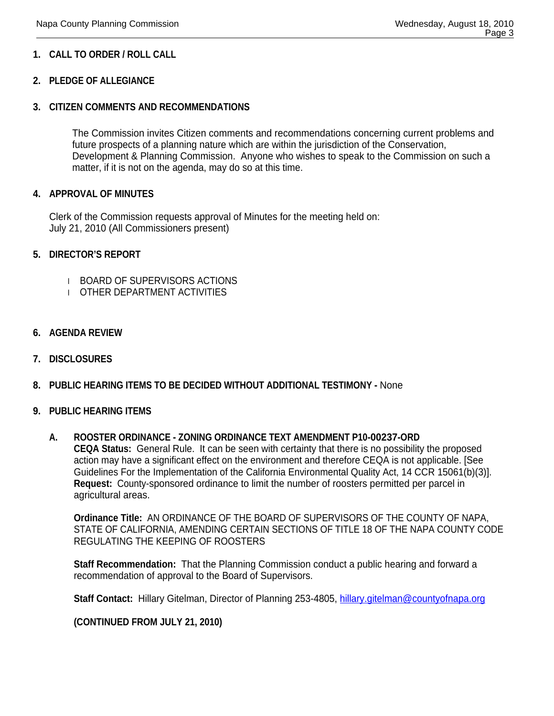#### **1. CALL TO ORDER / ROLL CALL**

#### **2. PLEDGE OF ALLEGIANCE**

#### **3. CITIZEN COMMENTS AND RECOMMENDATIONS**

The Commission invites Citizen comments and recommendations concerning current problems and future prospects of a planning nature which are within the jurisdiction of the Conservation, Development & Planning Commission. Anyone who wishes to speak to the Commission on such a matter, if it is not on the agenda, may do so at this time.

#### **4. APPROVAL OF MINUTES**

Clerk of the Commission requests approval of Minutes for the meeting held on: July 21, 2010 (All Commissioners present)

#### **5. DIRECTOR'S REPORT**

- l BOARD OF SUPERVISORS ACTIONS
- l OTHER DEPARTMENT ACTIVITIES
- **6. AGENDA REVIEW**
- **7. DISCLOSURES**
- **8. PUBLIC HEARING ITEMS TO BE DECIDED WITHOUT ADDITIONAL TESTIMONY -** None

#### **9. PUBLIC HEARING ITEMS**

#### **A. ROOSTER ORDINANCE - ZONING ORDINANCE TEXT AMENDMENT P10-00237-ORD**

**CEQA Status:** General Rule. It can be seen with certainty that there is no possibility the proposed action may have a significant effect on the environment and therefore CEQA is not applicable. [See Guidelines For the Implementation of the California Environmental Quality Act, 14 CCR 15061(b)(3)]. **Request:** County-sponsored ordinance to limit the number of roosters permitted per parcel in agricultural areas.

**Ordinance Title:** AN ORDINANCE OF THE BOARD OF SUPERVISORS OF THE COUNTY OF NAPA, STATE OF CALIFORNIA, AMENDING CERTAIN SECTIONS OF TITLE 18 OF THE NAPA COUNTY CODE REGULATING THE KEEPING OF ROOSTERS

**Staff Recommendation:** That the Planning Commission conduct a public hearing and forward a recommendation of approval to the Board of Supervisors.

**Staff Contact:** Hillary Gitelman, Director of Planning 253-4805, hillary.gitelman@countyofnapa.org

#### **(CONTINUED FROM JULY 21, 2010)**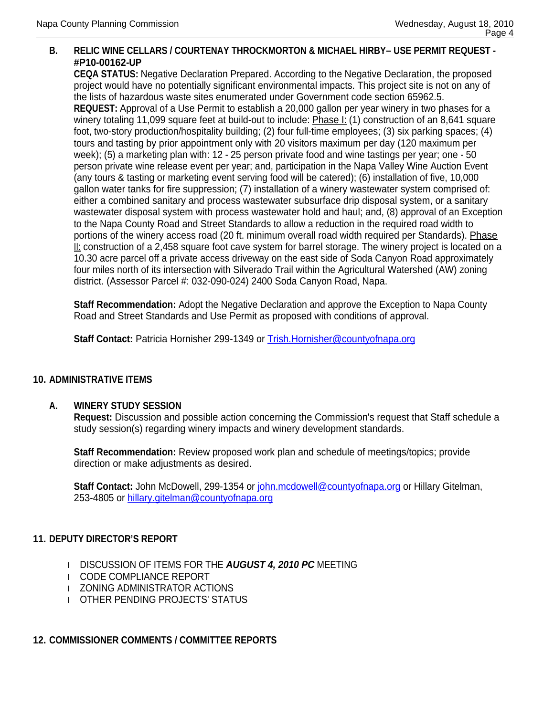## **B. RELIC WINE CELLARS / COURTENAY THROCKMORTON & MICHAEL HIRBY– USE PERMIT REQUEST - #P10-00162-UP**

**CEQA STATUS:** Negative Declaration Prepared. According to the Negative Declaration, the proposed project would have no potentially significant environmental impacts. This project site is not on any of the lists of hazardous waste sites enumerated under Government code section 65962.5.

**REQUEST:** Approval of a Use Permit to establish a 20,000 gallon per year winery in two phases for a winery totaling 11,099 square feet at build-out to include: Phase I: (1) construction of an 8,641 square foot, two-story production/hospitality building; (2) four full-time employees; (3) six parking spaces; (4) tours and tasting by prior appointment only with 20 visitors maximum per day (120 maximum per week); (5) a marketing plan with: 12 - 25 person private food and wine tastings per year; one - 50 person private wine release event per year; and, participation in the Napa Valley Wine Auction Event (any tours & tasting or marketing event serving food will be catered); (6) installation of five, 10,000 gallon water tanks for fire suppression; (7) installation of a winery wastewater system comprised of: either a combined sanitary and process wastewater subsurface drip disposal system, or a sanitary wastewater disposal system with process wastewater hold and haul; and, (8) approval of an Exception to the Napa County Road and Street Standards to allow a reduction in the required road width to portions of the winery access road (20 ft. minimum overall road width required per Standards). Phase II: construction of a 2,458 square foot cave system for barrel storage. The winery project is located on a 10.30 acre parcel off a private access driveway on the east side of Soda Canyon Road approximately four miles north of its intersection with Silverado Trail within the Agricultural Watershed (AW) zoning district. (Assessor Parcel #: 032-090-024) 2400 Soda Canyon Road, Napa.

**Staff Recommendation:** Adopt the Negative Declaration and approve the Exception to Napa County Road and Street Standards and Use Permit as proposed with conditions of approval.

**Staff Contact:** Patricia Hornisher 299-1349 or Trish.Hornisher@countyofnapa.org

#### **10. ADMINISTRATIVE ITEMS**

#### **A. WINERY STUDY SESSION**

**Request:** Discussion and possible action concerning the Commission's request that Staff schedule a study session(s) regarding winery impacts and winery development standards.

**Staff Recommendation:** Review proposed work plan and schedule of meetings/topics; provide direction or make adjustments as desired.

**Staff Contact:** John McDowell, 299-1354 or john.mcdowell@countyofnapa.org or Hillary Gitelman, 253-4805 or hillary.gitelman@countyofnapa.org

#### **11. DEPUTY DIRECTOR'S REPORT**

- l DISCUSSION OF ITEMS FOR THE *AUGUST 4, 2010 PC* MEETING
- l CODE COMPLIANCE REPORT
- l ZONING ADMINISTRATOR ACTIONS
- l OTHER PENDING PROJECTS' STATUS

# **12. COMMISSIONER COMMENTS / COMMITTEE REPORTS**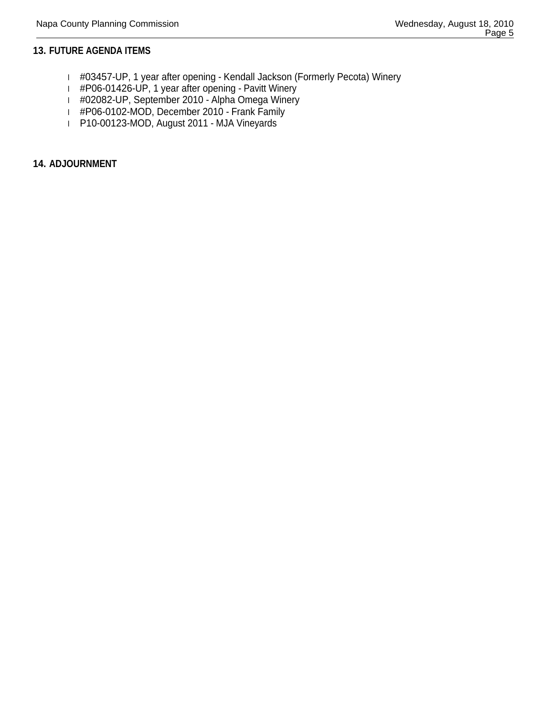#### **13. FUTURE AGENDA ITEMS**

- l #03457-UP, 1 year after opening Kendall Jackson (Formerly Pecota) Winery
- l #P06-01426-UP, 1 year after opening Pavitt Winery
- l #02082-UP, September 2010 Alpha Omega Winery
- l #P06-0102-MOD, December 2010 Frank Family
- l P10-00123-MOD, August 2011 MJA Vineyards

#### **14. ADJOURNMENT**